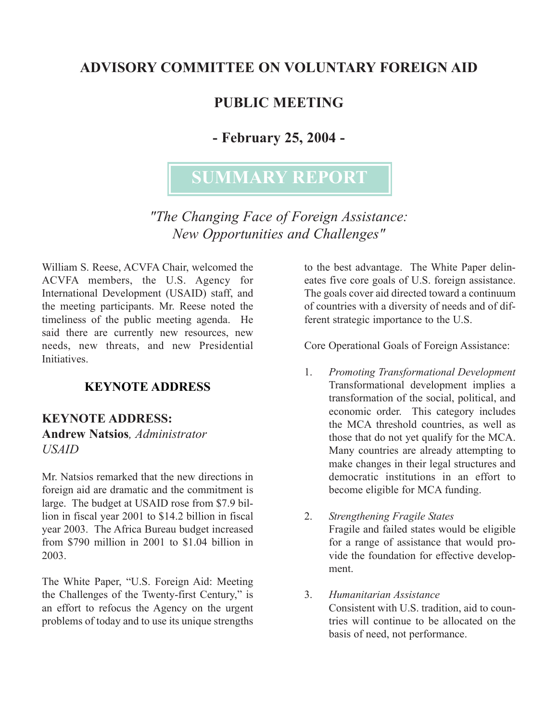# **ADVISORY COMMITTEE ON VOLUNTARY FOREIGN AID**

# **PUBLIC MEETING**

# **- February 25, 2004 -**

# **SUMMARY REPORT**

*"The Changing Face of Foreign Assistance: New Opportunities and Challenges"* 

William S. Reese, ACVFA Chair, welcomed the ACVFA members, the U.S. Agency for International Development (USAID) staff, and the meeting participants. Mr. Reese noted the timeliness of the public meeting agenda. He said there are currently new resources, new needs, new threats, and new Presidential **Initiatives** 

#### **KEYNOTE ADDRESS**

#### **KEYNOTE ADDRESS: Andrew Natsios***, Administrator USAID*

Mr. Natsios remarked that the new directions in foreign aid are dramatic and the commitment is large. The budget at USAID rose from \$7.9 billion in fiscal year 2001 to \$14.2 billion in fiscal year 2003. The Africa Bureau budget increased from \$790 million in 2001 to \$1.04 billion in 2003.

The White Paper, "U.S. Foreign Aid: Meeting the Challenges of the Twenty-first Century," is an effort to refocus the Agency on the urgent problems of today and to use its unique strengths

to the best advantage. The White Paper delineates five core goals of U.S. foreign assistance. The goals cover aid directed toward a continuum of countries with a diversity of needs and of different strategic importance to the U.S.

Core Operational Goals of Foreign Assistance:

- 1. *Promoting Transformational Development*  Transformational development implies a transformation of the social, political, and economic order. This category includes the MCA threshold countries, as well as those that do not yet qualify for the MCA. Many countries are already attempting to make changes in their legal structures and democratic institutions in an effort to become eligible for MCA funding.
- 2. *Strengthening Fragile States*  Fragile and failed states would be eligible for a range of assistance that would provide the foundation for effective development.
- 3. *Humanitarian Assistance*  Consistent with U.S. tradition, aid to countries will continue to be allocated on the basis of need, not performance.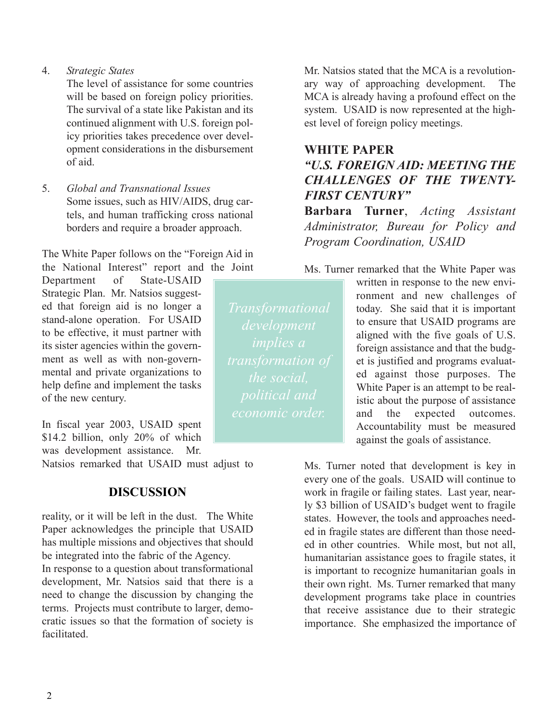4. *Strategic States* 

The level of assistance for some countries will be based on foreign policy priorities. The survival of a state like Pakistan and its continued alignment with U.S. foreign policy priorities takes precedence over development considerations in the disbursement of aid.

5. *Global and Transnational Issues*  Some issues, such as HIV/AIDS, drug cartels, and human trafficking cross national borders and require a broader approach.

The White Paper follows on the "Foreign Aid in the National Interest" report and the Joint

Department of State-USAID help define and implement the tasks<br>of the new century.<br> $\begin{array}{c|c|c|c|c} \hline \end{array}$  White Paper is an attempt to be real-<br>istic about the purpose of assistance

In fiscal year 2003, USAID spent Accountability must be measured \$14.2 billion, only 20% of which against the goals of assistance. was development assistance. Mr.

Natsios remarked that USAID must adjust to

#### **DISCUSSION**

reality, or it will be left in the dust. The White Paper acknowledges the principle that USAID has multiple missions and objectives that should be integrated into the fabric of the Agency.

In response to a question about transformational development, Mr. Natsios said that there is a need to change the discussion by changing the terms. Projects must contribute to larger, democratic issues so that the formation of society is facilitated.

Mr. Natsios stated that the MCA is a revolutionary way of approaching development. The MCA is already having a profound effect on the system. USAID is now represented at the highest level of foreign policy meetings.

#### **WHITE PAPER**  *"U.S. FOREIGN AID: MEETING THE CHALLENGES OF THE TWENTY-FIRST CENTURY"*

**Barbara Turner**, *Acting Assistant Administrator, Bureau for Policy and Program Coordination, USAID*

Ms. Turner remarked that the White Paper was

*development economic order.* 

written in response to the new envi-Strategic Plan. Mr. Natsios suggest-<br>
ed that foreign aid is no longer a *Transformational* today. She said that it is important ed that foreign aid is no longer a today. She said that it is important<br>stand-alone operation. For USAID stand-alone operation. For USAID development to ensure that USAID programs are to be effective, it must partner with  $\sim$  development alioned with the five goals of IIS to be effective, it must partner with  $\frac{implies \ a}$  aligned with the five goals of U.S. this sister agencies within the governits sister agencies within the govern-<br>ment as well as with non-govern-<br>mental and private organizations to the social ded against those purposes. The istic about the purpose of assistance and the expected outcomes.

> Ms. Turner noted that development is key in every one of the goals. USAID will continue to work in fragile or failing states. Last year, nearly \$3 billion of USAID's budget went to fragile states. However, the tools and approaches needed in fragile states are different than those needed in other countries. While most, but not all, humanitarian assistance goes to fragile states, it is important to recognize humanitarian goals in their own right. Ms. Turner remarked that many development programs take place in countries that receive assistance due to their strategic importance. She emphasized the importance of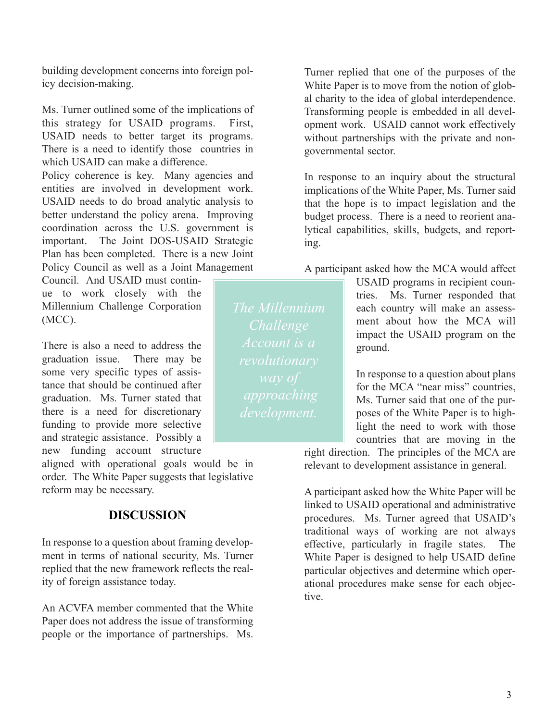building development concerns into foreign policy decision-making.

Ms. Turner outlined some of the implications of this strategy for USAID programs. First, USAID needs to better target its programs. There is a need to identify those countries in which USAID can make a difference.

Policy coherence is key. Many agencies and entities are involved in development work. USAID needs to do broad analytic analysis to better understand the policy arena. Improving coordination across the U.S. government is important. The Joint DOS-USAID Strategic Plan has been completed. There is a new Joint Policy Council as well as a Joint Management

Council. And USAID must contin-

There is also a need to address the  $\overline{account}$  is a ground. graduation issue. There may be some very specific types of assistance that should be continued after<br>
graduation. Ms. Turner stated that *approaching* for the MCA "near miss" countries,<br>  $\frac{1}{2}$  for the MCA "near miss" countries, graduation. Ms. Turner stated that  $\begin{array}{c|c} \n\text{upprod} & \text{upprod} & \text{Ms. Turner said that one of the pur-} \\ \n\text{there is a need for discretionary} & \text{devel moment} & \text{noses of the White Paper is to high-} \n\end{array}$ funding to provide more selective<br>and strategic assistance. Possibly a countries that are moving in the new funding account structure

aligned with operational goals would be in order. The White Paper suggests that legislative reform may be necessary.

#### **DISCUSSION**

In response to a question about framing development in terms of national security, Ms. Turner replied that the new framework reflects the reality of foreign assistance today.

An ACVFA member commented that the White Paper does not address the issue of transforming people or the importance of partnerships. Ms.

Turner replied that one of the purposes of the White Paper is to move from the notion of global charity to the idea of global interdependence. Transforming people is embedded in all development work. USAID cannot work effectively without partnerships with the private and nongovernmental sector.

In response to an inquiry about the structural implications of the White Paper, Ms. Turner said that the hope is to impact legislation and the budget process. There is a need to reorient analytical capabilities, skills, budgets, and reporting.

A participant asked how the MCA would affect

USAID programs in recipient counue to work closely with the tries. Ms. Turner responded that Millennium Challenge Corporation The Millennium each country will make an assess- $(NCC)$ .  $C_{ball22000}$  ment about how the MCA will impact the USAID program on the

> poses of the White Paper is to highcountries that are moving in the

right direction. The principles of the MCA are relevant to development assistance in general.

A participant asked how the White Paper will be linked to USAID operational and administrative procedures. Ms. Turner agreed that USAID's traditional ways of working are not always effective, particularly in fragile states. The White Paper is designed to help USAID define particular objectives and determine which operational procedures make sense for each objective.

*The Millennium Challenge Account is a*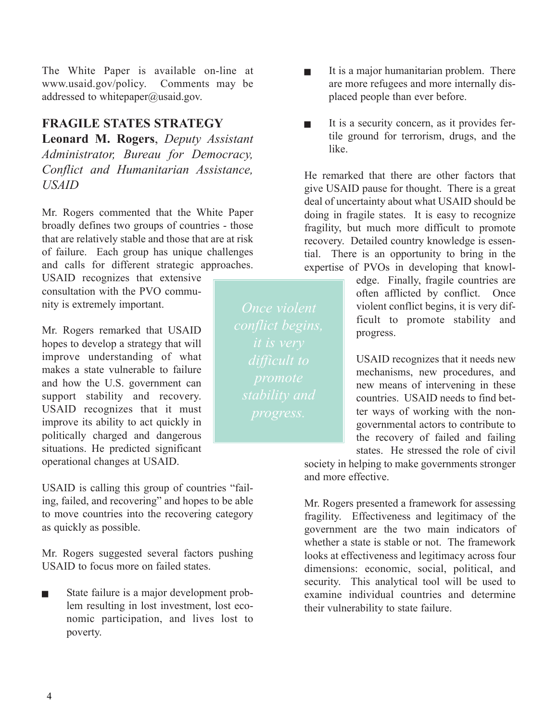The White Paper is available on-line at www.usaid.gov/policy. Comments may be addressed to whitepaper@usaid.gov.

#### **FRAGILE STATES STRATEGY**

**Leonard M. Rogers**, *Deputy Assistant Administrator, Bureau for Democracy, Conflict and Humanitarian Assistance, USAID* 

Mr. Rogers commented that the White Paper broadly defines two groups of countries - those that are relatively stable and those that are at risk of failure. Each group has unique challenges and calls for different strategic approaches.

USAID recognizes that extensive consultation with the PVO community is extremely important.

Mr. Rogers remarked that USAID hopes to develop a strategy that will improve understanding of what makes a state vulnerable to failure and how the U.S. government can support stability and recovery. USAID recognizes that it must improve its ability to act quickly in politically charged and dangerous situations. He predicted significant operational changes at USAID.

USAID is calling this group of countries "failing, failed, and recovering" and hopes to be able to move countries into the recovering category as quickly as possible.

Mr. Rogers suggested several factors pushing USAID to focus more on failed states.

State failure is a major development problem resulting in lost investment, lost economic participation, and lives lost to poverty.

It is a major humanitarian problem. There are more refugees and more internally displaced people than ever before.

 $\blacksquare$  It is a security concern, as it provides fertile ground for terrorism, drugs, and the like.

He remarked that there are other factors that give USAID pause for thought. There is a great deal of uncertainty about what USAID should be doing in fragile states. It is easy to recognize fragility, but much more difficult to promote recovery. Detailed country knowledge is essential. There is an opportunity to bring in the expertise of PVOs in developing that knowl-

> edge. Finally, fragile countries are often afflicted by conflict. Once violent conflict begins, it is very difficult to promote stability and progress.

> USAID recognizes that it needs new mechanisms, new procedures, and new means of intervening in these countries. USAID needs to find better ways of working with the nongovernmental actors to contribute to the recovery of failed and failing states. He stressed the role of civil

society in helping to make governments stronger and more effective.

Mr. Rogers presented a framework for assessing fragility. Effectiveness and legitimacy of the government are the two main indicators of whether a state is stable or not. The framework looks at effectiveness and legitimacy across four dimensions: economic, social, political, and security. This analytical tool will be used to examine individual countries and determine their vulnerability to state failure.

*Once violent*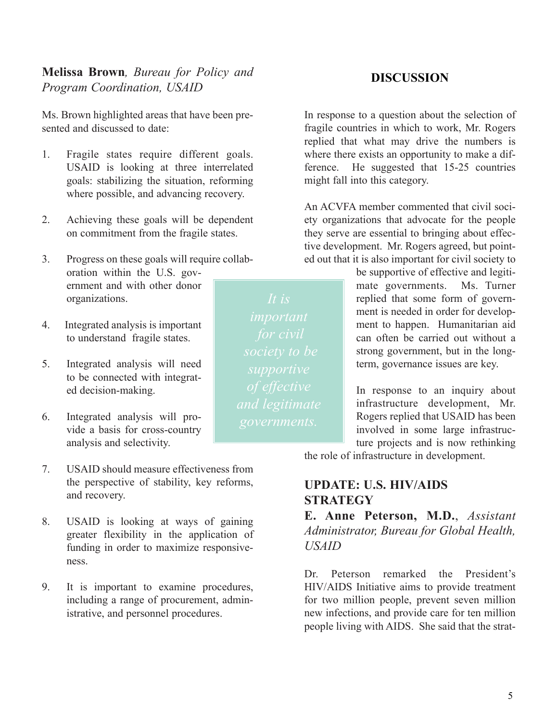**Melissa Brown***, Bureau for Policy and Program Coordination, USAID* 

Ms. Brown highlighted areas that have been presented and discussed to date:

- 1. Fragile states require different goals. USAID is looking at three interrelated goals: stabilizing the situation, reforming where possible, and advancing recovery.
- 2. Achieving these goals will be dependent on commitment from the fragile states.
- 3. Progress on these goals will require collaboration within the U.S. government and with other donor organizations.
- 4. Integrated analysis is important to understand fragile states.
- 5. Integrated analysis will need to be connected with integrated decision-making.
- 6. Integrated analysis will provide a basis for cross-country analysis and selectivity.
- 7. USAID should measure effectiveness from the perspective of stability, key reforms, and recovery.
- 8. USAID is looking at ways of gaining greater flexibility in the application of funding in order to maximize responsiveness.
- 9. It is important to examine procedures, including a range of procurement, administrative, and personnel procedures.

In response to a question about the selection of fragile countries in which to work, Mr. Rogers replied that what may drive the numbers is where there exists an opportunity to make a difference. He suggested that 15-25 countries might fall into this category.

An ACVFA member commented that civil society organizations that advocate for the people they serve are essential to bringing about effective development. Mr. Rogers agreed, but pointed out that it is also important for civil society to

> be supportive of effective and legitimate governments. Ms. Turner replied that some form of government is needed in order for development to happen. Humanitarian aid can often be carried out without a strong government, but in the longterm, governance issues are key.

> In response to an inquiry about infrastructure development, Mr. Rogers replied that USAID has been involved in some large infrastructure projects and is now rethinking

the role of infrastructure in development.

#### **UPDATE: U.S. HIV/AIDS STRATEGY**

**E. Anne Peterson, M.D.**, *Assistant Administrator, Bureau for Global Health, USAID*

Dr. Peterson remarked the President's HIV/AIDS Initiative aims to provide treatment for two million people, prevent seven million new infections, and provide care for ten million people living with AIDS. She said that the strat-

#### **DISCUSSION**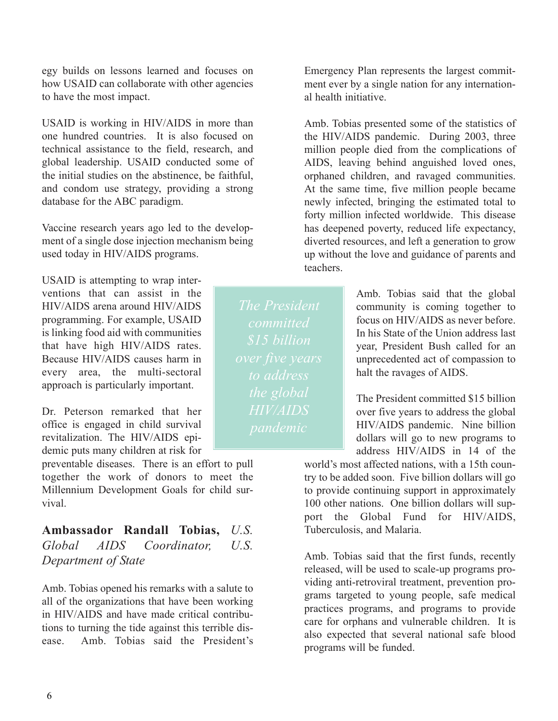egy builds on lessons learned and focuses on how USAID can collaborate with other agencies to have the most impact.

USAID is working in HIV/AIDS in more than one hundred countries. It is also focused on technical assistance to the field, research, and global leadership. USAID conducted some of the initial studies on the abstinence, be faithful, and condom use strategy, providing a strong database for the ABC paradigm.

Vaccine research years ago led to the development of a single dose injection mechanism being used today in HIV/AIDS programs.

USAID is attempting to wrap interventions that can assist in the HIV/AIDS arena around HIV/AIDS programming. For example, USAID is linking food aid with communities that have high HIV/AIDS rates. Because HIV/AIDS causes harm in every area, the multi-sectoral approach is particularly important.

Dr. Peterson remarked that her office is engaged in child survival revitalization. The HIV/AIDS epidemic puts many children at risk for

preventable diseases. There is an effort to pull together the work of donors to meet the Millennium Development Goals for child survival.

**Ambassador Randall Tobias,** *U.S. Global AIDS Coordinator, U.S. Department of State* 

Amb. Tobias opened his remarks with a salute to all of the organizations that have been working in HIV/AIDS and have made critical contributions to turning the tide against this terrible disease. Amb. Tobias said the President's

Emergency Plan represents the largest commitment ever by a single nation for any international health initiative.

Amb. Tobias presented some of the statistics of the HIV/AIDS pandemic. During 2003, three million people died from the complications of AIDS, leaving behind anguished loved ones, orphaned children, and ravaged communities. At the same time, five million people became newly infected, bringing the estimated total to forty million infected worldwide. This disease has deepened poverty, reduced life expectancy, diverted resources, and left a generation to grow up without the love and guidance of parents and teachers.

> Amb. Tobias said that the global community is coming together to focus on HIV/AIDS as never before. In his State of the Union address last year, President Bush called for an unprecedented act of compassion to halt the ravages of AIDS.

> The President committed \$15 billion over five years to address the global HIV/AIDS pandemic. Nine billion dollars will go to new programs to address HIV/AIDS in 14 of the

world's most affected nations, with a 15th country to be added soon. Five billion dollars will go to provide continuing support in approximately 100 other nations. One billion dollars will support the Global Fund for HIV/AIDS, Tuberculosis, and Malaria.

Amb. Tobias said that the first funds, recently released, will be used to scale-up programs providing anti-retroviral treatment, prevention programs targeted to young people, safe medical practices programs, and programs to provide care for orphans and vulnerable children. It is also expected that several national safe blood programs will be funded.

*The President committed to address the global HIV/AIDS*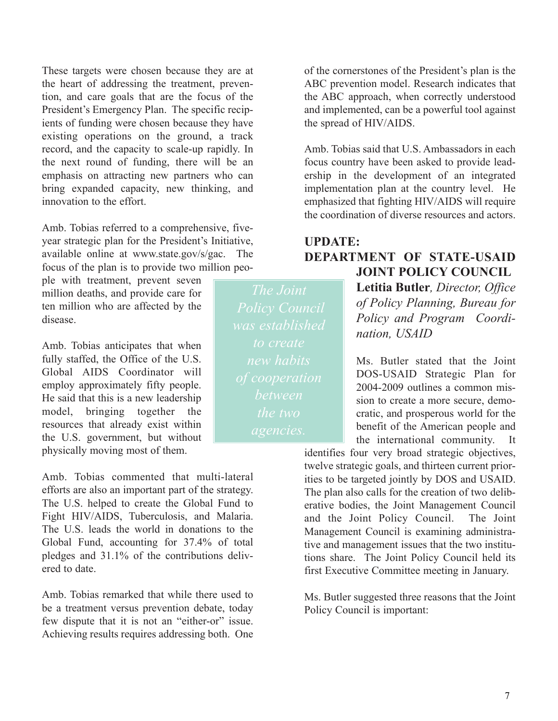These targets were chosen because they are at the heart of addressing the treatment, prevention, and care goals that are the focus of the President's Emergency Plan. The specific recipients of funding were chosen because they have existing operations on the ground, a track record, and the capacity to scale-up rapidly. In the next round of funding, there will be an emphasis on attracting new partners who can bring expanded capacity, new thinking, and innovation to the effort.

Amb. Tobias referred to a comprehensive, fiveyear strategic plan for the President's Initiative, available online at www.state.gov/s/gac. The focus of the plan is to provide two million peo-

ple with treatment, prevent seven million deaths, and provide care for ten million who are affected by the disease.

Amb. Tobias anticipates that when fully staffed, the Office of the U.S. Global AIDS Coordinator will employ approximately fifty people. He said that this is a new leadership model, bringing together the resources that already exist within the U.S. government, but without physically moving most of them.

Amb. Tobias commented that multi-lateral efforts are also an important part of the strategy. The U.S. helped to create the Global Fund to Fight HIV/AIDS, Tuberculosis, and Malaria. The U.S. leads the world in donations to the Global Fund, accounting for 37.4% of total pledges and 31.1% of the contributions delivered to date.

Amb. Tobias remarked that while there used to be a treatment versus prevention debate, today few dispute that it is not an "either-or" issue. Achieving results requires addressing both. One of the cornerstones of the President's plan is the ABC prevention model. Research indicates that the ABC approach, when correctly understood and implemented, can be a powerful tool against the spread of HIV/AIDS.

Amb. Tobias said that U.S. Ambassadors in each focus country have been asked to provide leadership in the development of an integrated implementation plan at the country level. He emphasized that fighting HIV/AIDS will require the coordination of diverse resources and actors.

#### **UPDATE: DEPARTMENT OF STATE-USAID JOINT POLICY COUNCIL**

**Letitia Butler***, Director, Office of Policy Planning, Bureau for Policy and Program Coordination, USAID* 

Ms. Butler stated that the Joint DOS-USAID Strategic Plan for 2004-2009 outlines a common mission to create a more secure, democratic, and prosperous world for the benefit of the American people and the international community. It

identifies four very broad strategic objectives, twelve strategic goals, and thirteen current priorities to be targeted jointly by DOS and USAID. The plan also calls for the creation of two deliberative bodies, the Joint Management Council and the Joint Policy Council. The Joint Management Council is examining administrative and management issues that the two institutions share. The Joint Policy Council held its first Executive Committee meeting in January.

Ms. Butler suggested three reasons that the Joint Policy Council is important:

*The Joint was established to create between*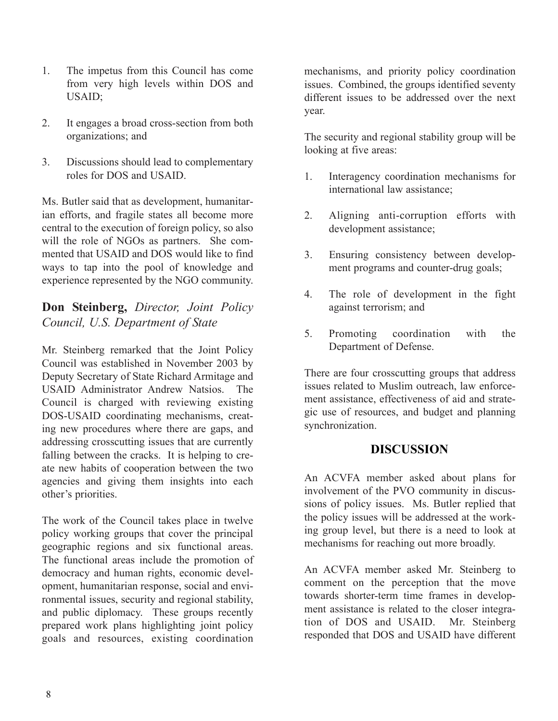- 1. The impetus from this Council has come from very high levels within DOS and USAID;
- 2. It engages a broad cross-section from both organizations; and
- 3. Discussions should lead to complementary roles for DOS and USAID.

Ms. Butler said that as development, humanitarian efforts, and fragile states all become more central to the execution of foreign policy, so also will the role of NGOs as partners. She commented that USAID and DOS would like to find ways to tap into the pool of knowledge and experience represented by the NGO community.

#### **Don Steinberg,** *Director, Joint Policy Council, U.S. Department of State*

Mr. Steinberg remarked that the Joint Policy Council was established in November 2003 by Deputy Secretary of State Richard Armitage and USAID Administrator Andrew Natsios. The Council is charged with reviewing existing DOS-USAID coordinating mechanisms, creating new procedures where there are gaps, and addressing crosscutting issues that are currently falling between the cracks. It is helping to create new habits of cooperation between the two agencies and giving them insights into each other's priorities.

The work of the Council takes place in twelve policy working groups that cover the principal geographic regions and six functional areas. The functional areas include the promotion of democracy and human rights, economic development, humanitarian response, social and environmental issues, security and regional stability, and public diplomacy. These groups recently prepared work plans highlighting joint policy goals and resources, existing coordination mechanisms, and priority policy coordination issues. Combined, the groups identified seventy different issues to be addressed over the next year.

The security and regional stability group will be looking at five areas:

- 1. Interagency coordination mechanisms for international law assistance;
- 2. Aligning anti-corruption efforts with development assistance;
- 3. Ensuring consistency between development programs and counter-drug goals;
- 4. The role of development in the fight against terrorism; and
- 5. Promoting coordination with the Department of Defense.

There are four crosscutting groups that address issues related to Muslim outreach, law enforcement assistance, effectiveness of aid and strategic use of resources, and budget and planning synchronization.

#### **DISCUSSION**

An ACVFA member asked about plans for involvement of the PVO community in discussions of policy issues. Ms. Butler replied that the policy issues will be addressed at the working group level, but there is a need to look at mechanisms for reaching out more broadly.

An ACVFA member asked Mr. Steinberg to comment on the perception that the move towards shorter-term time frames in development assistance is related to the closer integration of DOS and USAID. Mr. Steinberg responded that DOS and USAID have different